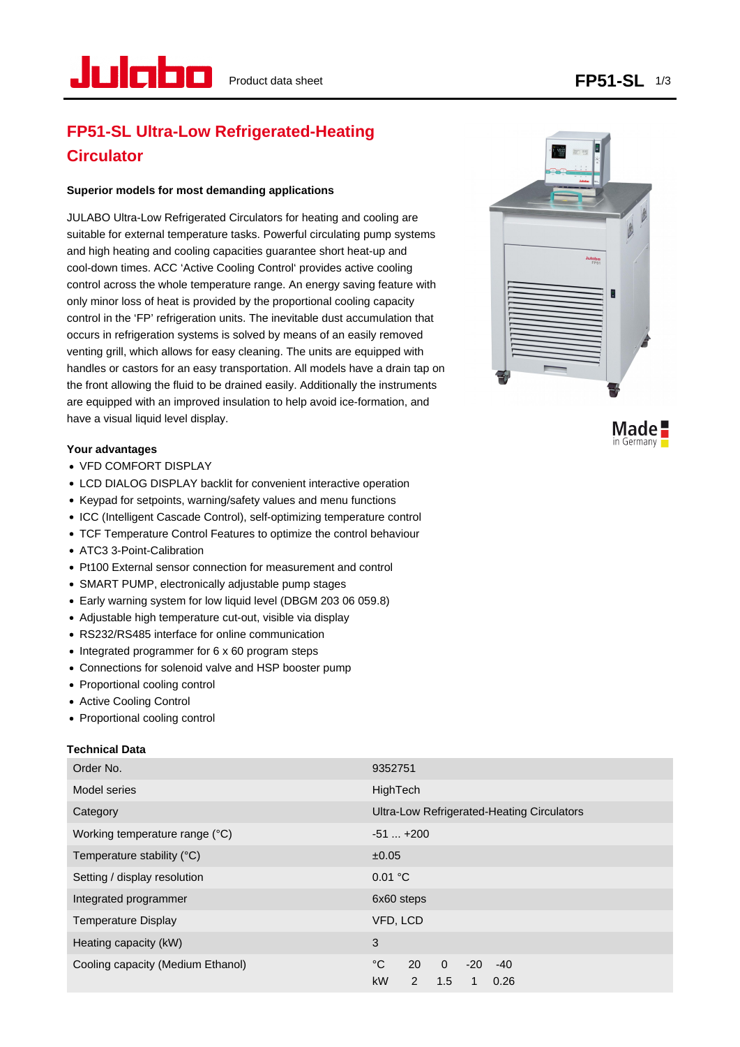# **FP51-SL Ultra-Low Refrigerated-Heating Circulator**

## **Superior models for most demanding applications**

JULABO Ultra-Low Refrigerated Circulators for heating and cooling are suitable for external temperature tasks. Powerful circulating pump systems and high heating and cooling capacities guarantee short heat-up and cool-down times. ACC 'Active Cooling Control' provides active cooling control across the whole temperature range. An energy saving feature with only minor loss of heat is provided by the proportional cooling capacity control in the 'FP' refrigeration units. The inevitable dust accumulation that occurs in refrigeration systems is solved by means of an easily removed venting grill, which allows for easy cleaning. The units are equipped with handles or castors for an easy transportation. All models have a drain tap on the front allowing the fluid to be drained easily. Additionally the instruments are equipped with an improved insulation to help avoid ice-formation, and have a visual liquid level display.

## **Your advantages**

- VFD COMFORT DISPLAY
- LCD DIALOG DISPLAY backlit for convenient interactive operation
- Keypad for setpoints, warning/safety values and menu functions
- ICC (Intelligent Cascade Control), self-optimizing temperature control
- TCF Temperature Control Features to optimize the control behaviour
- ATC3 3-Point-Calibration
- Pt100 External sensor connection for measurement and control
- SMART PUMP, electronically adjustable pump stages
- Early warning system for low liquid level (DBGM 203 06 059.8)
- Adjustable high temperature cut-out, visible via display
- RS232/RS485 interface for online communication
- Integrated programmer for 6 x 60 program steps
- Connections for solenoid valve and HSP booster pump
- Proportional cooling control
- Active Cooling Control
- Proportional cooling control

## **Technical Data**

| Order No.                         | 9352751                                                                            |
|-----------------------------------|------------------------------------------------------------------------------------|
| <b>Model series</b>               | HighTech                                                                           |
| Category                          | Ultra-Low Refrigerated-Heating Circulators                                         |
| Working temperature range (°C)    | $-51+200$                                                                          |
| Temperature stability (°C)        | ±0.05                                                                              |
| Setting / display resolution      | 0.01 °C                                                                            |
| Integrated programmer             | 6x60 steps                                                                         |
| <b>Temperature Display</b>        | VFD, LCD                                                                           |
| Heating capacity (kW)             | 3                                                                                  |
| Cooling capacity (Medium Ethanol) | °C<br>$\overline{0}$<br>20<br>$-20$<br>$-40$<br><b>kW</b><br>1.5<br>2<br>0.26<br>1 |



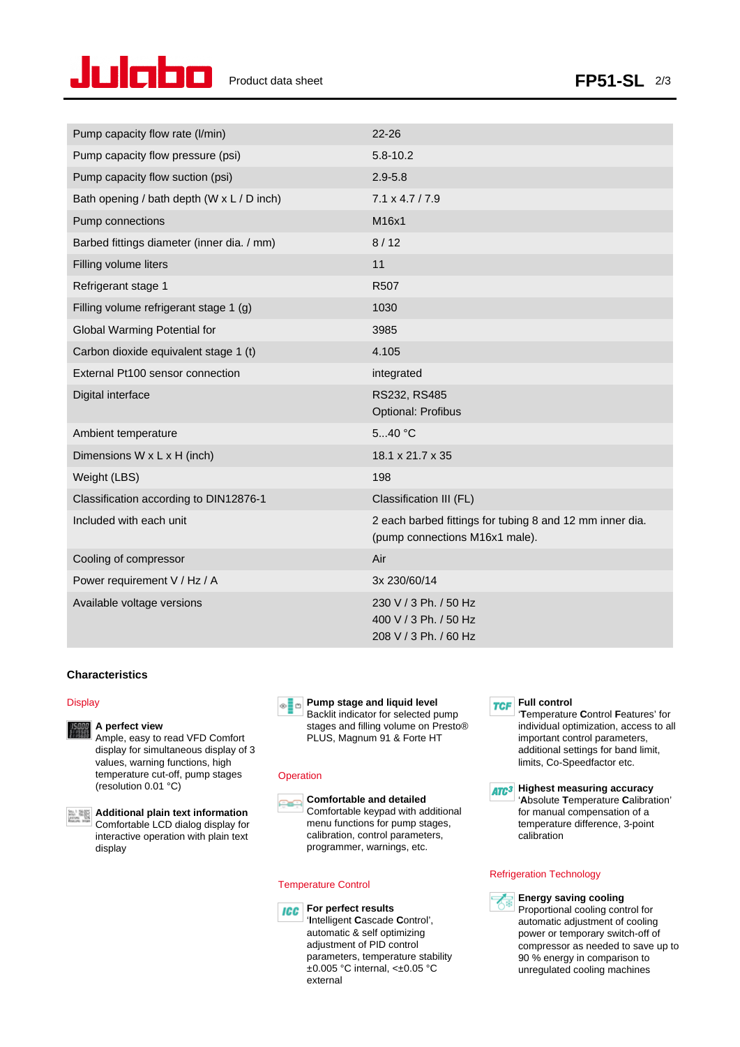

| Pump capacity flow rate (I/min)            | $22 - 26$                                                                                  |
|--------------------------------------------|--------------------------------------------------------------------------------------------|
| Pump capacity flow pressure (psi)          | $5.8 - 10.2$                                                                               |
| Pump capacity flow suction (psi)           | $2.9 - 5.8$                                                                                |
| Bath opening / bath depth (W x L / D inch) | $7.1 \times 4.7 / 7.9$                                                                     |
| Pump connections                           | M16x1                                                                                      |
| Barbed fittings diameter (inner dia. / mm) | 8/12                                                                                       |
| Filling volume liters                      | 11                                                                                         |
| Refrigerant stage 1                        | R507                                                                                       |
| Filling volume refrigerant stage 1 (g)     | 1030                                                                                       |
| Global Warming Potential for               | 3985                                                                                       |
| Carbon dioxide equivalent stage 1 (t)      | 4.105                                                                                      |
| External Pt100 sensor connection           | integrated                                                                                 |
| Digital interface                          | RS232, RS485<br><b>Optional: Profibus</b>                                                  |
| Ambient temperature                        | 540 °C                                                                                     |
| Dimensions W x L x H (inch)                | 18.1 x 21.7 x 35                                                                           |
| Weight (LBS)                               | 198                                                                                        |
| Classification according to DIN12876-1     | Classification III (FL)                                                                    |
| Included with each unit                    | 2 each barbed fittings for tubing 8 and 12 mm inner dia.<br>(pump connections M16x1 male). |
| Cooling of compressor                      | Air                                                                                        |
| Power requirement V / Hz / A               | 3x 230/60/14                                                                               |
| Available voltage versions                 | 230 V / 3 Ph. / 50 Hz<br>400 V / 3 Ph. / 50 Hz<br>208 V / 3 Ph. / 60 Hz                    |

## **Characteristics**

### **Display**



### **A perfect view**

Ample, easy to read VFD Comfort display for simultaneous display of 3 values, warning functions, high temperature cut-off, pump stages (resolution 0.01 °C)



**Additional plain text information** Comfortable LCD dialog display for interactive operation with plain text display



Backlit indicator for selected pump stages and filling volume on Presto® PLUS, Magnum 91 & Forte HT

## **Operation**



**Comfortable and detailed** Comfortable keypad with additional menu functions for pump stages, calibration, control parameters, programmer, warnings, etc.

#### Temperature Control



**For perfect results** '**I**ntelligent **C**ascade **C**ontrol', automatic & self optimizing adjustment of PID control parameters, temperature stability ±0.005 °C internal, <±0.05 °C external

**FULL** CONTIN

'**T**emperature **C**ontrol **F**eatures' for individual optimization, access to all important control parameters, additional settings for band limit, limits, Co-Speedfactor etc.

**ATC<sup>3</sup>** Highest measuring accuracy '**A**bsolute **T**emperature **C**alibration' for manual compensation of a temperature difference, 3-point calibration

#### Refrigeration Technology



**Energy saving cooling** Proportional cooling control for automatic adjustment of cooling power or temporary switch-off of compressor as needed to save up to 90 % energy in comparison to unregulated cooling machines